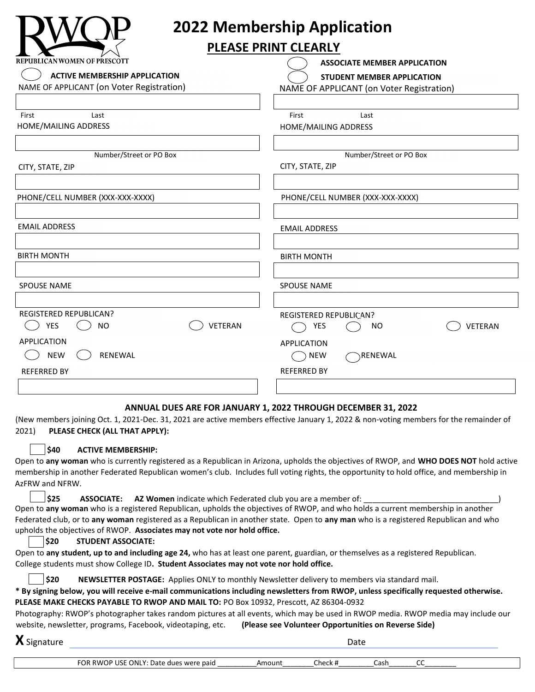

# **2022 Membership Application**

### **PLEASE PRINT CLEARLY**

| REPUBLICAN WOMEN OF PRESCOTT              | <b>ASSOCIATE MEMBER APPLICATION</b>       |
|-------------------------------------------|-------------------------------------------|
| <b>ACTIVE MEMBERSHIP APPLICATION</b>      | STUDENT MEMBER APPLICATION                |
| NAME OF APPLICANT (on Voter Registration) | NAME OF APPLICANT (on Voter Registration) |
|                                           |                                           |
| First<br>Last                             | First<br>Last                             |
| HOME/MAILING ADDRESS                      | HOME/MAILING ADDRESS                      |
|                                           |                                           |
| Number/Street or PO Box                   | Number/Street or PO Box                   |
| CITY, STATE, ZIP                          | CITY, STATE, ZIP                          |
|                                           |                                           |
| PHONE/CELL NUMBER (XXX-XXX-XXXX)          | PHONE/CELL NUMBER (XXX-XXX-XXXX)          |
|                                           |                                           |
| <b>EMAIL ADDRESS</b>                      | <b>EMAIL ADDRESS</b>                      |
|                                           |                                           |
| <b>BIRTH MONTH</b>                        | <b>BIRTH MONTH</b>                        |
|                                           |                                           |
| <b>SPOUSE NAME</b>                        | <b>SPOUSE NAME</b>                        |
|                                           |                                           |
| <b>REGISTERED REPUBLICAN?</b>             | REGISTERED REPUBLICAN?                    |
| <b>VETERAN</b><br><b>YES</b><br><b>NO</b> | VETERAN<br>YES<br>NO                      |
| APPLICATION                               | <b>APPLICATION</b>                        |
| <b>NEW</b><br>RENEWAL                     | RENEWAL<br><b>NEW</b>                     |
| <b>REFERRED BY</b>                        | <b>REFERRED BY</b>                        |
|                                           |                                           |
|                                           |                                           |

#### **ANNUAL DUES ARE FOR JANUARY 1, 2022 THROUGH DECEMBER 31, 2022**

(New members joining Oct. 1, 2021-Dec. 31, 2021 are active members effective January 1, 2022 & non-voting members for the remainder of 2021) **PLEASE CHECK (ALL THAT APPLY):**

#### **\$40 ACTIVE MEMBERSHIP:**

Open to **any woman** who is currently registered as a Republican in Arizona, upholds the objectives of RWOP, and **WHO DOES NOT** hold active membership in another Federated Republican women's club. Includes full voting rights, the opportunity to hold office, and membership in AzFRW and NFRW.

\$25 **ASSOCIATE:** AZ Women indicate which Federated club you are a member of: Open to **any woman** who is a registered Republican, upholds the objectives of RWOP, and who holds a current membership in another

#### Federated club, or to **any woman** registered as a Republican in another state. Open to **any man** who is a registered Republican and who upholds the objectives of RWOP. **Associates may not vote nor hold office.**

#### **\$20 STUDENT ASSOCIATE:**

Open to **any student, up to and including age 24,** who has at least one parent, guardian, or themselves as a registered Republican. College students must show College ID**. Student Associates may not vote nor hold office.**

**\$20 NEWSLETTER POSTAGE:** Applies ONLY to monthly Newsletter delivery to members via standard mail.

**\* By signing below, you will receive e-mail communications including newsletters from RWOP, unless specifically requested otherwise. PLEASE MAKE CHECKS PAYABLE TO RWOP AND MAIL TO:** PO Box 10932, Prescott, AZ 86304-0932

Photography: RWOP's photographer takes random pictures at all events, which may be used in RWOP media. RWOP media may include our website, newsletter, programs, Facebook, videotaping, etc. **(Please see Volunteer Opportunities on Reverse Side)**

**X** Signature Date

| $\overline{\phantom{a}}$                              |               |                       | - |
|-------------------------------------------------------|---------------|-----------------------|---|
| ™Ω<br>ONL<br>חו<br>RM<br>Dati<br>naid ·<br>due<br>wer | hark<br>LI\ T | $\mathcal{L}$<br>cdSi |   |
|                                                       |               |                       |   |
|                                                       |               |                       |   |